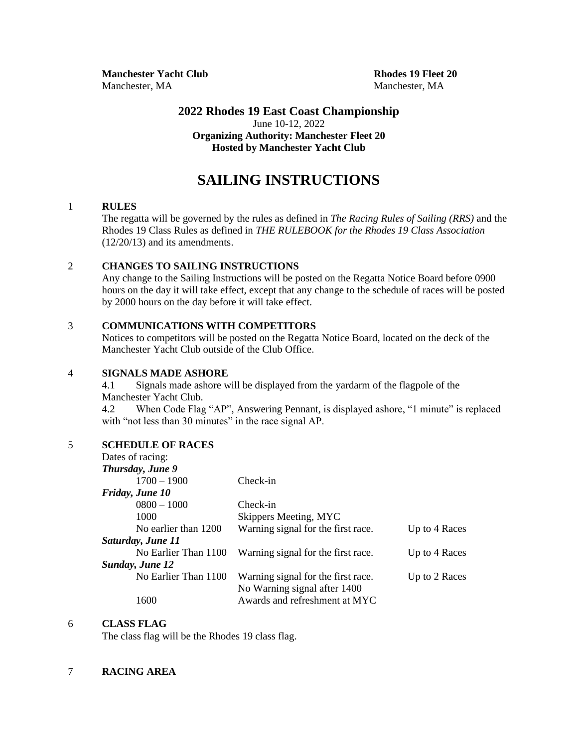**Manchester Yacht Club Rhodes 19 Fleet 20** Manchester, MA Manchester, MA

## **2022 Rhodes 19 East Coast Championship** June 10-12, 2022 **Organizing Authority: Manchester Fleet 20 Hosted by Manchester Yacht Club**

# **SAILING INSTRUCTIONS**

#### 1 **RULES**

The regatta will be governed by the rules as defined in *The Racing Rules of Sailing (RRS)* and the Rhodes 19 Class Rules as defined in *THE RULEBOOK for the Rhodes 19 Class Association* (12/20/13) and its amendments.

# 2 **CHANGES TO SAILING INSTRUCTIONS**

Any change to the Sailing Instructions will be posted on the Regatta Notice Board before 0900 hours on the day it will take effect, except that any change to the schedule of races will be posted by 2000 hours on the day before it will take effect.

### 3 **COMMUNICATIONS WITH COMPETITORS**

Notices to competitors will be posted on the Regatta Notice Board, located on the deck of the Manchester Yacht Club outside of the Club Office.

#### 4 **SIGNALS MADE ASHORE**

4.1 Signals made ashore will be displayed from the yardarm of the flagpole of the Manchester Yacht Club.

4.2 When Code Flag "AP", Answering Pennant, is displayed ashore, "1 minute" is replaced with "not less than 30 minutes" in the race signal AP.

### 5 **SCHEDULE OF RACES**

| Check-in                      |                                                                                                                                                                         |
|-------------------------------|-------------------------------------------------------------------------------------------------------------------------------------------------------------------------|
|                               |                                                                                                                                                                         |
| Check-in                      |                                                                                                                                                                         |
|                               |                                                                                                                                                                         |
|                               | Up to 4 Races                                                                                                                                                           |
|                               |                                                                                                                                                                         |
|                               | Up to 4 Races                                                                                                                                                           |
|                               |                                                                                                                                                                         |
|                               | Up to 2 Races                                                                                                                                                           |
|                               |                                                                                                                                                                         |
| Awards and refreshment at MYC |                                                                                                                                                                         |
|                               | Skippers Meeting, MYC<br>Warning signal for the first race.<br>Warning signal for the first race.<br>Warning signal for the first race.<br>No Warning signal after 1400 |

#### 6 **CLASS FLAG**

The class flag will be the Rhodes 19 class flag.

### 7 **RACING AREA**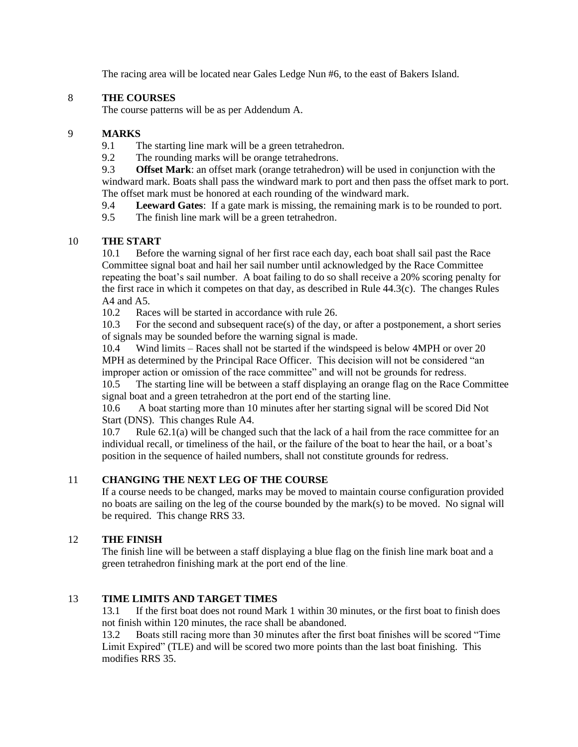The racing area will be located near Gales Ledge Nun #6, to the east of Bakers Island.

# 8 **THE COURSES**

The course patterns will be as per Addendum A.

## 9 **MARKS**

- 9.1 The starting line mark will be a green tetrahedron.
- 9.2 The rounding marks will be orange tetrahedrons.

9.3 **Offset Mark**: an offset mark (orange tetrahedron) will be used in conjunction with the windward mark. Boats shall pass the windward mark to port and then pass the offset mark to port. The offset mark must be honored at each rounding of the windward mark.

9.4 **Leeward Gates**: If a gate mark is missing, the remaining mark is to be rounded to port.

9.5 The finish line mark will be a green tetrahedron.

# 10 **THE START**

10.1 Before the warning signal of her first race each day, each boat shall sail past the Race Committee signal boat and hail her sail number until acknowledged by the Race Committee repeating the boat's sail number. A boat failing to do so shall receive a 20% scoring penalty for the first race in which it competes on that day, as described in Rule 44.3(c). The changes Rules A4 and A5.

10.2 Races will be started in accordance with rule 26.

10.3 For the second and subsequent race(s) of the day, or after a postponement, a short series of signals may be sounded before the warning signal is made.

10.4 Wind limits – Races shall not be started if the windspeed is below 4MPH or over 20 MPH as determined by the Principal Race Officer. This decision will not be considered "an improper action or omission of the race committee" and will not be grounds for redress.

10.5 The starting line will be between a staff displaying an orange flag on the Race Committee signal boat and a green tetrahedron at the port end of the starting line.

10.6 A boat starting more than 10 minutes after her starting signal will be scored Did Not Start (DNS). This changes Rule A4.

10.7 Rule 62.1(a) will be changed such that the lack of a hail from the race committee for an individual recall, or timeliness of the hail, or the failure of the boat to hear the hail, or a boat's position in the sequence of hailed numbers, shall not constitute grounds for redress.

# 11 **CHANGING THE NEXT LEG OF THE COURSE**

If a course needs to be changed, marks may be moved to maintain course configuration provided no boats are sailing on the leg of the course bounded by the mark(s) to be moved. No signal will be required. This change RRS 33.

# 12 **THE FINISH**

The finish line will be between a staff displaying a blue flag on the finish line mark boat and a green tetrahedron finishing mark at the port end of the line.

# 13 **TIME LIMITS AND TARGET TIMES**

13.1 If the first boat does not round Mark 1 within 30 minutes, or the first boat to finish does not finish within 120 minutes, the race shall be abandoned.

13.2 Boats still racing more than 30 minutes after the first boat finishes will be scored "Time Limit Expired" (TLE) and will be scored two more points than the last boat finishing. This modifies RRS 35.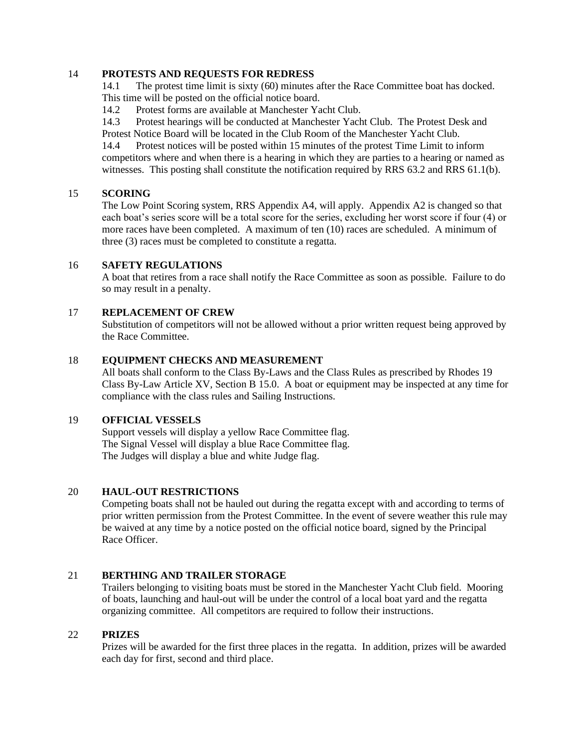### 14 **PROTESTS AND REQUESTS FOR REDRESS**

14.1 The protest time limit is sixty (60) minutes after the Race Committee boat has docked. This time will be posted on the official notice board.

14.2 Protest forms are available at Manchester Yacht Club.

14.3 Protest hearings will be conducted at Manchester Yacht Club. The Protest Desk and Protest Notice Board will be located in the Club Room of the Manchester Yacht Club.

14.4 Protest notices will be posted within 15 minutes of the protest Time Limit to inform competitors where and when there is a hearing in which they are parties to a hearing or named as witnesses. This posting shall constitute the notification required by RRS 63.2 and RRS 61.1(b).

### 15 **SCORING**

The Low Point Scoring system, RRS Appendix A4, will apply. Appendix A2 is changed so that each boat's series score will be a total score for the series, excluding her worst score if four (4) or more races have been completed. A maximum of ten (10) races are scheduled. A minimum of three (3) races must be completed to constitute a regatta.

### 16 **SAFETY REGULATIONS**

A boat that retires from a race shall notify the Race Committee as soon as possible. Failure to do so may result in a penalty.

### 17 **REPLACEMENT OF CREW**

Substitution of competitors will not be allowed without a prior written request being approved by the Race Committee.

### 18 **EQUIPMENT CHECKS AND MEASUREMENT**

All boats shall conform to the Class By-Laws and the Class Rules as prescribed by Rhodes 19 Class By-Law Article XV, Section B 15.0. A boat or equipment may be inspected at any time for compliance with the class rules and Sailing Instructions.

## 19 **OFFICIAL VESSELS**

Support vessels will display a yellow Race Committee flag. The Signal Vessel will display a blue Race Committee flag. The Judges will display a blue and white Judge flag.

#### 20 **HAUL-OUT RESTRICTIONS**

Competing boats shall not be hauled out during the regatta except with and according to terms of prior written permission from the Protest Committee. In the event of severe weather this rule may be waived at any time by a notice posted on the official notice board, signed by the Principal Race Officer.

### 21 **BERTHING AND TRAILER STORAGE**

Trailers belonging to visiting boats must be stored in the Manchester Yacht Club field. Mooring of boats, launching and haul-out will be under the control of a local boat yard and the regatta organizing committee. All competitors are required to follow their instructions.

### 22 **PRIZES**

Prizes will be awarded for the first three places in the regatta. In addition, prizes will be awarded each day for first, second and third place.